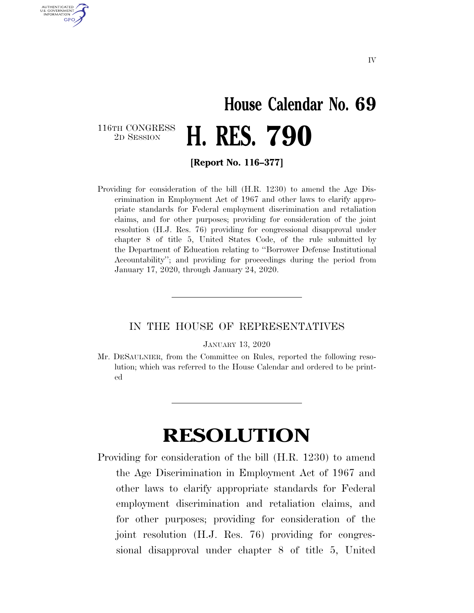## **House Calendar No. 69**  2D SESSION **H. RES. 790**

116TH CONGRESS<br>2D SESSION

AUTHENTICATED U.S. GOVERNMENT **GPO** 

**[Report No. 116–377]** 

Providing for consideration of the bill (H.R. 1230) to amend the Age Discrimination in Employment Act of 1967 and other laws to clarify appropriate standards for Federal employment discrimination and retaliation claims, and for other purposes; providing for consideration of the joint resolution (H.J. Res. 76) providing for congressional disapproval under chapter 8 of title 5, United States Code, of the rule submitted by the Department of Education relating to ''Borrower Defense Institutional Accountability''; and providing for proceedings during the period from January 17, 2020, through January 24, 2020.

## IN THE HOUSE OF REPRESENTATIVES

JANUARY 13, 2020

Mr. DESAULNIER, from the Committee on Rules, reported the following resolution; which was referred to the House Calendar and ordered to be printed

## **RESOLUTION**

Providing for consideration of the bill (H.R. 1230) to amend the Age Discrimination in Employment Act of 1967 and other laws to clarify appropriate standards for Federal employment discrimination and retaliation claims, and for other purposes; providing for consideration of the joint resolution (H.J. Res. 76) providing for congressional disapproval under chapter 8 of title 5, United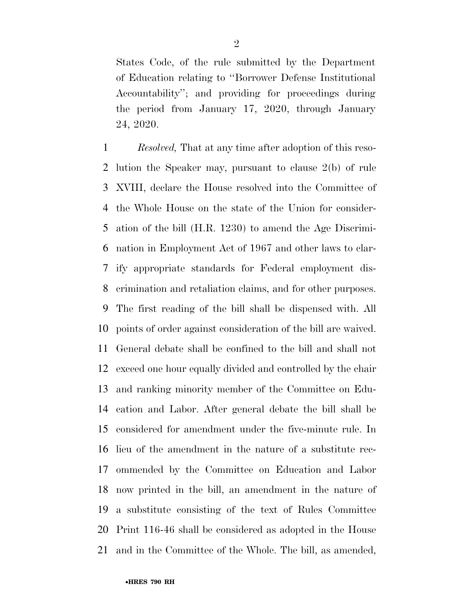States Code, of the rule submitted by the Department of Education relating to ''Borrower Defense Institutional Accountability''; and providing for proceedings during the period from January 17, 2020, through January 24, 2020.

 *Resolved,* That at any time after adoption of this reso- lution the Speaker may, pursuant to clause 2(b) of rule XVIII, declare the House resolved into the Committee of the Whole House on the state of the Union for consider- ation of the bill (H.R. 1230) to amend the Age Discrimi- nation in Employment Act of 1967 and other laws to clar- ify appropriate standards for Federal employment dis- crimination and retaliation claims, and for other purposes. The first reading of the bill shall be dispensed with. All points of order against consideration of the bill are waived. General debate shall be confined to the bill and shall not exceed one hour equally divided and controlled by the chair and ranking minority member of the Committee on Edu- cation and Labor. After general debate the bill shall be considered for amendment under the five-minute rule. In lieu of the amendment in the nature of a substitute rec- ommended by the Committee on Education and Labor now printed in the bill, an amendment in the nature of a substitute consisting of the text of Rules Committee Print 116-46 shall be considered as adopted in the House and in the Committee of the Whole. The bill, as amended,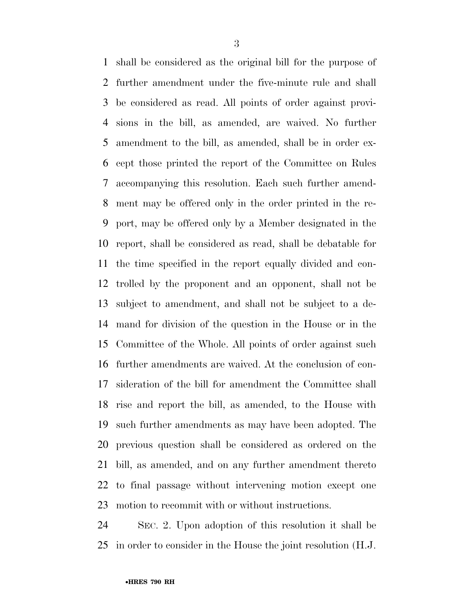shall be considered as the original bill for the purpose of further amendment under the five-minute rule and shall be considered as read. All points of order against provi- sions in the bill, as amended, are waived. No further amendment to the bill, as amended, shall be in order ex- cept those printed the report of the Committee on Rules accompanying this resolution. Each such further amend- ment may be offered only in the order printed in the re- port, may be offered only by a Member designated in the report, shall be considered as read, shall be debatable for the time specified in the report equally divided and con- trolled by the proponent and an opponent, shall not be subject to amendment, and shall not be subject to a de- mand for division of the question in the House or in the Committee of the Whole. All points of order against such further amendments are waived. At the conclusion of con- sideration of the bill for amendment the Committee shall rise and report the bill, as amended, to the House with such further amendments as may have been adopted. The previous question shall be considered as ordered on the bill, as amended, and on any further amendment thereto to final passage without intervening motion except one motion to recommit with or without instructions.

 SEC. 2. Upon adoption of this resolution it shall be in order to consider in the House the joint resolution (H.J.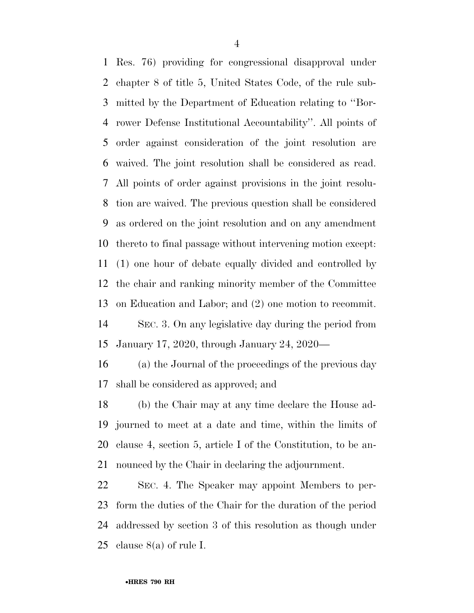Res. 76) providing for congressional disapproval under chapter 8 of title 5, United States Code, of the rule sub- mitted by the Department of Education relating to ''Bor- rower Defense Institutional Accountability''. All points of order against consideration of the joint resolution are waived. The joint resolution shall be considered as read. All points of order against provisions in the joint resolu- tion are waived. The previous question shall be considered as ordered on the joint resolution and on any amendment thereto to final passage without intervening motion except: (1) one hour of debate equally divided and controlled by the chair and ranking minority member of the Committee on Education and Labor; and (2) one motion to recommit.

 SEC. 3. On any legislative day during the period from January 17, 2020, through January 24, 2020—

 (a) the Journal of the proceedings of the previous day shall be considered as approved; and

 (b) the Chair may at any time declare the House ad- journed to meet at a date and time, within the limits of clause 4, section 5, article I of the Constitution, to be an-nounced by the Chair in declaring the adjournment.

 SEC. 4. The Speaker may appoint Members to per- form the duties of the Chair for the duration of the period addressed by section 3 of this resolution as though under 25 clause  $8(a)$  of rule I.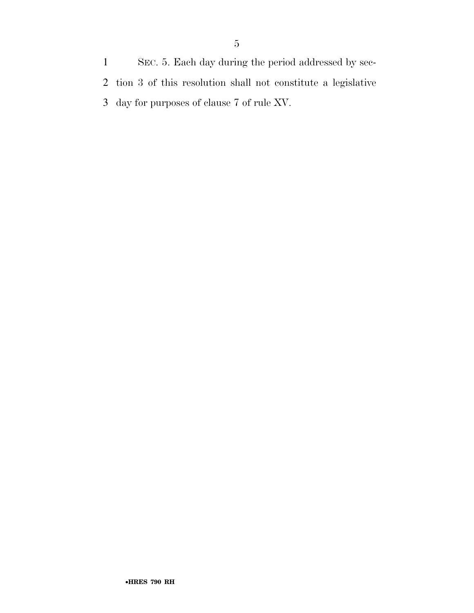SEC. 5. Each day during the period addressed by sec- tion 3 of this resolution shall not constitute a legislative day for purposes of clause 7 of rule XV.